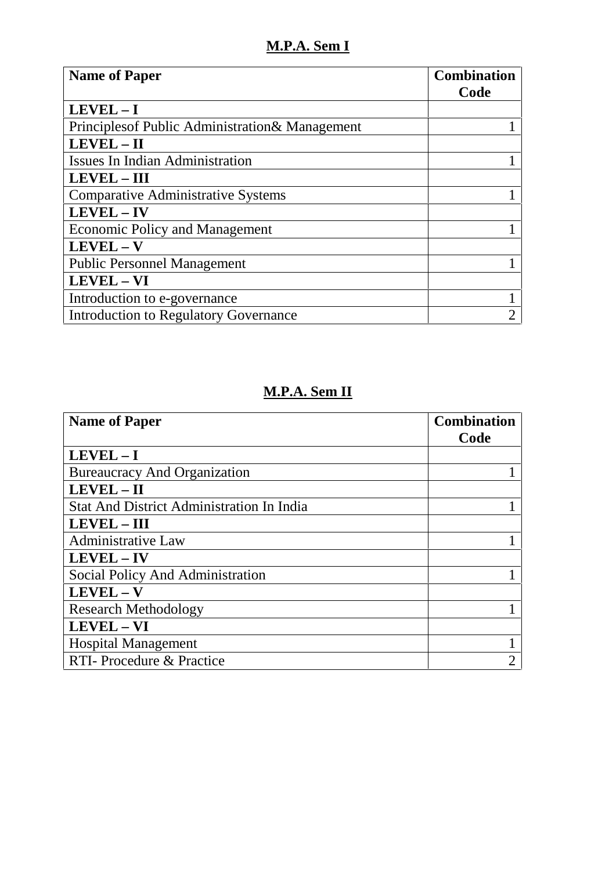## **M.P.A. Sem I**

| <b>Name of Paper</b>                             | <b>Combination</b> |
|--------------------------------------------------|--------------------|
|                                                  | Code               |
| $LEVEL - I$                                      |                    |
| Principles of Public Administration & Management |                    |
| $LEVEL - II$                                     |                    |
| <b>Issues In Indian Administration</b>           |                    |
| <b>LEVEL - III</b>                               |                    |
| <b>Comparative Administrative Systems</b>        |                    |
| LEVEL-IV                                         |                    |
| <b>Economic Policy and Management</b>            |                    |
| LEVEL-V                                          |                    |
| <b>Public Personnel Management</b>               |                    |
| LEVEL - VI                                       |                    |
| Introduction to e-governance                     |                    |
| <b>Introduction to Regulatory Governance</b>     | $\overline{2}$     |

#### **M.P.A. Sem II**

| <b>Name of Paper</b>                             | <b>Combination</b> |
|--------------------------------------------------|--------------------|
|                                                  | Code               |
| LEVEL-I                                          |                    |
| <b>Bureaucracy And Organization</b>              |                    |
| LEVEL - II                                       |                    |
| <b>Stat And District Administration In India</b> |                    |
| <b>LEVEL - III</b>                               |                    |
| <b>Administrative Law</b>                        |                    |
| <b>LEVEL-IV</b>                                  |                    |
| Social Policy And Administration                 |                    |
| LEVEL-V                                          |                    |
| <b>Research Methodology</b>                      |                    |
| LEVEL - VI                                       |                    |
| <b>Hospital Management</b>                       |                    |
| RTI- Procedure & Practice                        | 2                  |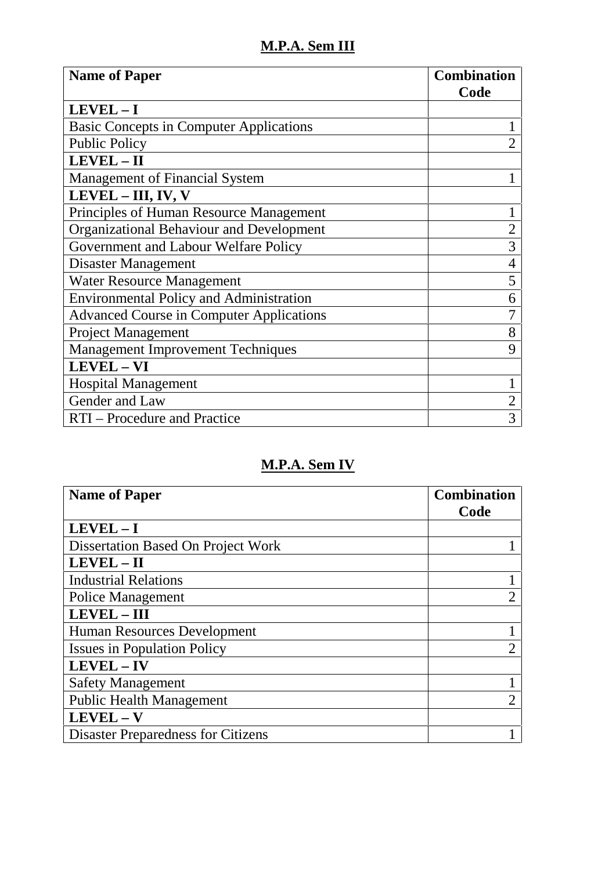## **M.P.A. Sem III**

| <b>Name of Paper</b>                            | <b>Combination</b> |
|-------------------------------------------------|--------------------|
|                                                 | Code               |
| LEVEL-I                                         |                    |
| <b>Basic Concepts in Computer Applications</b>  |                    |
| <b>Public Policy</b>                            |                    |
| LEVEL - II                                      |                    |
| <b>Management of Financial System</b>           |                    |
| $LEVEL - III, IV, V$                            |                    |
| Principles of Human Resource Management         |                    |
| <b>Organizational Behaviour and Development</b> |                    |
| Government and Labour Welfare Policy            | 3                  |
| Disaster Management                             | 4                  |
| <b>Water Resource Management</b>                | 5                  |
| <b>Environmental Policy and Administration</b>  | 6                  |
| <b>Advanced Course in Computer Applications</b> |                    |
| <b>Project Management</b>                       | 8                  |
| <b>Management Improvement Techniques</b>        | 9                  |
| LEVEL - VI                                      |                    |
| <b>Hospital Management</b>                      |                    |
| Gender and Law                                  | $\overline{2}$     |
| RTI – Procedure and Practice                    | 3                  |

# **M.P.A. Sem IV**

| <b>Name of Paper</b>                      | <b>Combination</b> |
|-------------------------------------------|--------------------|
|                                           | Code               |
| $LEVEL - I$                               |                    |
| <b>Dissertation Based On Project Work</b> |                    |
| LEVEL - II                                |                    |
| <b>Industrial Relations</b>               |                    |
| <b>Police Management</b>                  | $\overline{2}$     |
| <b>LEVEL - III</b>                        |                    |
| Human Resources Development               |                    |
| <b>Issues in Population Policy</b>        | $\overline{2}$     |
| LEVEL-IV                                  |                    |
| <b>Safety Management</b>                  |                    |
| <b>Public Health Management</b>           | $\overline{2}$     |
| LEVEL - V                                 |                    |
| <b>Disaster Preparedness for Citizens</b> |                    |